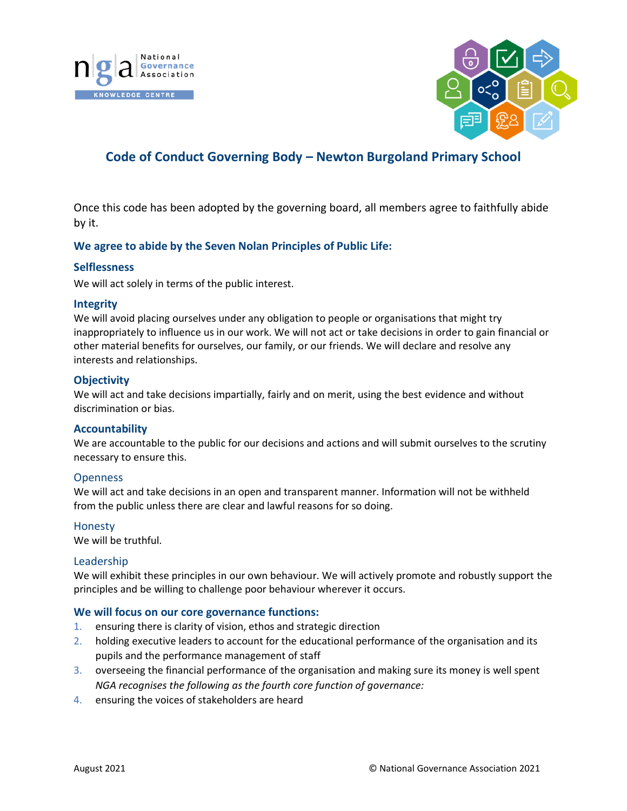



# **Code of Conduct Governing Body – Newton Burgoland Primary School**

Once this code has been adopted by the governing board, all members agree to faithfully abide by it.

# **We agree to abide by the Seven Nolan Principles of Public Life:**

#### **Selflessness**

We will act solely in terms of the public interest.

#### **Integrity**

We will avoid placing ourselves under any obligation to people or organisations that might try inappropriately to influence us in our work. We will not act or take decisions in order to gain financial or other material benefits for ourselves, our family, or our friends. We will declare and resolve any interests and relationships.

## **Objectivity**

We will act and take decisions impartially, fairly and on merit, using the best evidence and without discrimination or bias.

## **Accountability**

We are accountable to the public for our decisions and actions and will submit ourselves to the scrutiny necessary to ensure this.

#### **Openness**

We will act and take decisions in an open and transparent manner. Information will not be withheld from the public unless there are clear and lawful reasons for so doing.

#### Honesty

We will be truthful.

#### Leadership

We will exhibit these principles in our own behaviour. We will actively promote and robustly support the principles and be willing to challenge poor behaviour wherever it occurs.

#### **We will focus on our core governance functions:**

- 1. ensuring there is clarity of vision, ethos and strategic direction
- 2. holding executive leaders to account for the educational performance of the organisation and its pupils and the performance management of staff
- 3. overseeing the financial performance of the organisation and making sure its money is well spent *NGA recognises the following as the fourth core function of governance:*
- 4. ensuring the voices of stakeholders are heard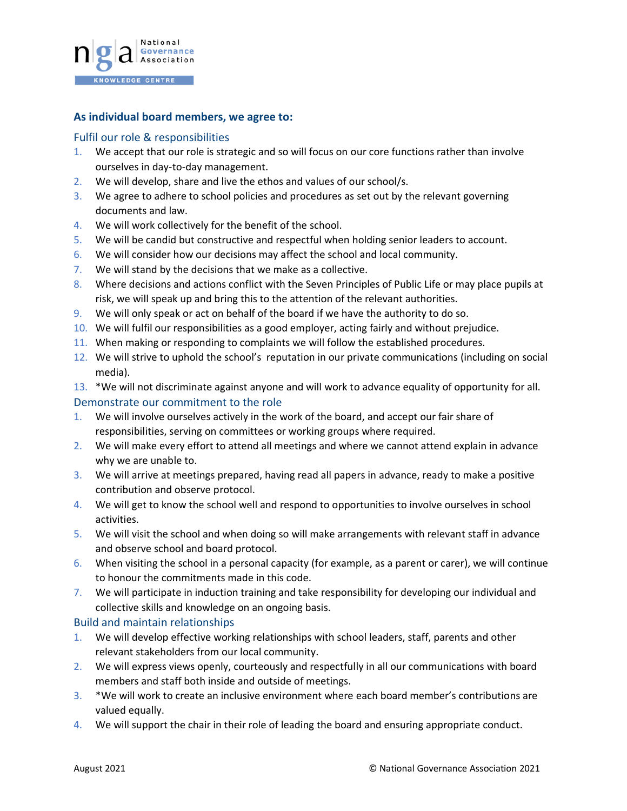

# **As individual board members, we agree to:**

# Fulfil our role & responsibilities

- 1. We accept that our role is strategic and so will focus on our core functions rather than involve ourselves in day-to-day management.
- 2. We will develop, share and live the ethos and values of our school/s.
- 3. We agree to adhere to school policies and procedures as set out by the relevant governing documents and law.
- 4. We will work collectively for the benefit of the school.
- 5. We will be candid but constructive and respectful when holding senior leaders to account.
- 6. We will consider how our decisions may affect the school and local community.
- 7. We will stand by the decisions that we make as a collective.
- 8. Where decisions and actions conflict with the Seven Principles of Public Life or may place pupils at risk, we will speak up and bring this to the attention of the relevant authorities.
- 9. We will only speak or act on behalf of the board if we have the authority to do so.
- 10. We will fulfil our responsibilities as a good employer, acting fairly and without prejudice.
- 11. When making or responding to complaints we will follow the established procedures.
- 12. We will strive to uphold the school's reputation in our private communications (including on social media).
- 13. \*We will not discriminate against anyone and will work to advance equality of opportunity for all.

#### Demonstrate our commitment to the role

- 1. We will involve ourselves actively in the work of the board, and accept our fair share of responsibilities, serving on committees or working groups where required.
- 2. We will make every effort to attend all meetings and where we cannot attend explain in advance why we are unable to.
- 3. We will arrive at meetings prepared, having read all papers in advance, ready to make a positive contribution and observe protocol.
- 4. We will get to know the school well and respond to opportunities to involve ourselves in school activities.
- 5. We will visit the school and when doing so will make arrangements with relevant staff in advance and observe school and board protocol.
- 6. When visiting the school in a personal capacity (for example, as a parent or carer), we will continue to honour the commitments made in this code.
- 7. We will participate in induction training and take responsibility for developing our individual and collective skills and knowledge on an ongoing basis.

#### Build and maintain relationships

- 1. We will develop effective working relationships with school leaders, staff, parents and other relevant stakeholders from our local community.
- 2. We will express views openly, courteously and respectfully in all our communications with board members and staff both inside and outside of meetings.
- 3. \*We will work to create an inclusive environment where each board member's contributions are valued equally.
- 4. We will support the chair in their role of leading the board and ensuring appropriate conduct.